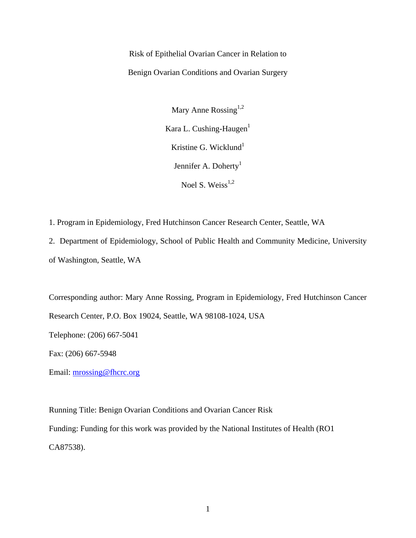Risk of Epithelial Ovarian Cancer in Relation to Benign Ovarian Conditions and Ovarian Surgery

> Mary Anne Rossing $1,2$ Kara L. Cushing-Haugen $<sup>1</sup>$ </sup> Kristine G. Wicklund $1$ Jennifer A. Doherty<sup>1</sup> Noel S. Weiss $^{1,2}$

1. Program in Epidemiology, Fred Hutchinson Cancer Research Center, Seattle, WA

2. Department of Epidemiology, School of Public Health and Community Medicine, University of Washington, Seattle, WA

Corresponding author: Mary Anne Rossing, Program in Epidemiology, Fred Hutchinson Cancer Research Center, P.O. Box 19024, Seattle, WA 98108-1024, USA

Telephone: (206) 667-5041

Fax: (206) 667-5948

Email: mrossing@fhcrc.org

Running Title: Benign Ovarian Conditions and Ovarian Cancer Risk Funding: Funding for this work was provided by the National Institutes of Health (RO1 CA87538).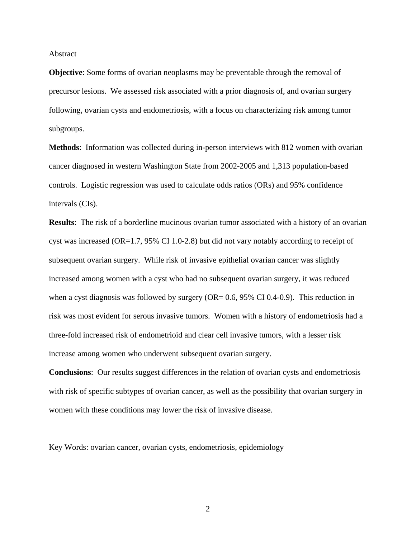Abstract

**Objective**: Some forms of ovarian neoplasms may be preventable through the removal of precursor lesions. We assessed risk associated with a prior diagnosis of, and ovarian surgery following, ovarian cysts and endometriosis, with a focus on characterizing risk among tumor subgroups.

**Methods**: Information was collected during in-person interviews with 812 women with ovarian cancer diagnosed in western Washington State from 2002-2005 and 1,313 population-based controls. Logistic regression was used to calculate odds ratios (ORs) and 95% confidence intervals (CIs).

**Results**: The risk of a borderline mucinous ovarian tumor associated with a history of an ovarian cyst was increased (OR=1.7, 95% CI 1.0-2.8) but did not vary notably according to receipt of subsequent ovarian surgery. While risk of invasive epithelial ovarian cancer was slightly increased among women with a cyst who had no subsequent ovarian surgery, it was reduced when a cyst diagnosis was followed by surgery  $(OR = 0.6, 95\% \text{ CI } 0.4-0.9)$ . This reduction in risk was most evident for serous invasive tumors. Women with a history of endometriosis had a three-fold increased risk of endometrioid and clear cell invasive tumors, with a lesser risk increase among women who underwent subsequent ovarian surgery.

**Conclusions**: Our results suggest differences in the relation of ovarian cysts and endometriosis with risk of specific subtypes of ovarian cancer, as well as the possibility that ovarian surgery in women with these conditions may lower the risk of invasive disease.

Key Words: ovarian cancer, ovarian cysts, endometriosis, epidemiology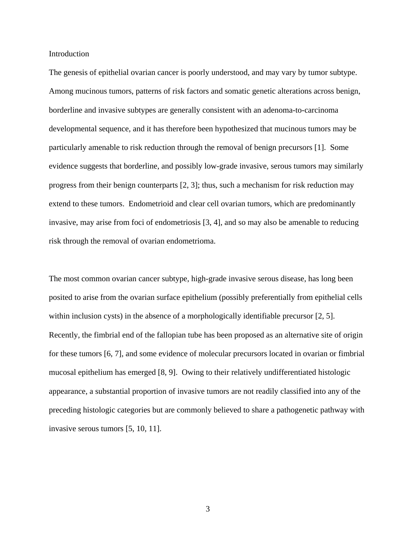Introduction

The genesis of epithelial ovarian cancer is poorly understood, and may vary by tumor subtype. Among mucinous tumors, patterns of risk factors and somatic genetic alterations across benign, borderline and invasive subtypes are generally consistent with an adenoma-to-carcinoma developmental sequence, and it has therefore been hypothesized that mucinous tumors may be particularly amenable to risk reduction through the removal of benign precursors [1]. Some evidence suggests that borderline, and possibly low-grade invasive, serous tumors may similarly progress from their benign counterparts [2, 3]; thus, such a mechanism for risk reduction may extend to these tumors. Endometrioid and clear cell ovarian tumors, which are predominantly invasive, may arise from foci of endometriosis [3, 4], and so may also be amenable to reducing risk through the removal of ovarian endometrioma.

The most common ovarian cancer subtype, high-grade invasive serous disease, has long been posited to arise from the ovarian surface epithelium (possibly preferentially from epithelial cells within inclusion cysts) in the absence of a morphologically identifiable precursor [2, 5]. Recently, the fimbrial end of the fallopian tube has been proposed as an alternative site of origin for these tumors [6, 7], and some evidence of molecular precursors located in ovarian or fimbrial mucosal epithelium has emerged [8, 9]. Owing to their relatively undifferentiated histologic appearance, a substantial proportion of invasive tumors are not readily classified into any of the preceding histologic categories but are commonly believed to share a pathogenetic pathway with invasive serous tumors [5, 10, 11].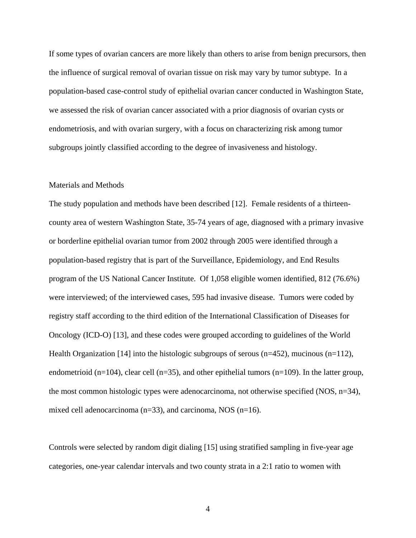If some types of ovarian cancers are more likely than others to arise from benign precursors, then the influence of surgical removal of ovarian tissue on risk may vary by tumor subtype. In a population-based case-control study of epithelial ovarian cancer conducted in Washington State, we assessed the risk of ovarian cancer associated with a prior diagnosis of ovarian cysts or endometriosis, and with ovarian surgery, with a focus on characterizing risk among tumor subgroups jointly classified according to the degree of invasiveness and histology.

## Materials and Methods

The study population and methods have been described [12]. Female residents of a thirteencounty area of western Washington State, 35-74 years of age, diagnosed with a primary invasive or borderline epithelial ovarian tumor from 2002 through 2005 were identified through a population-based registry that is part of the Surveillance, Epidemiology, and End Results program of the US National Cancer Institute. Of 1,058 eligible women identified, 812 (76.6%) were interviewed; of the interviewed cases, 595 had invasive disease. Tumors were coded by registry staff according to the third edition of the International Classification of Diseases for Oncology (ICD-O) [13], and these codes were grouped according to guidelines of the World Health Organization [14] into the histologic subgroups of serous (n=452), mucinous (n=112), endometrioid (n=104), clear cell (n=35), and other epithelial tumors (n=109). In the latter group, the most common histologic types were adenocarcinoma, not otherwise specified (NOS, n=34), mixed cell adenocarcinoma (n=33), and carcinoma, NOS (n=16).

Controls were selected by random digit dialing [15] using stratified sampling in five-year age categories, one-year calendar intervals and two county strata in a 2:1 ratio to women with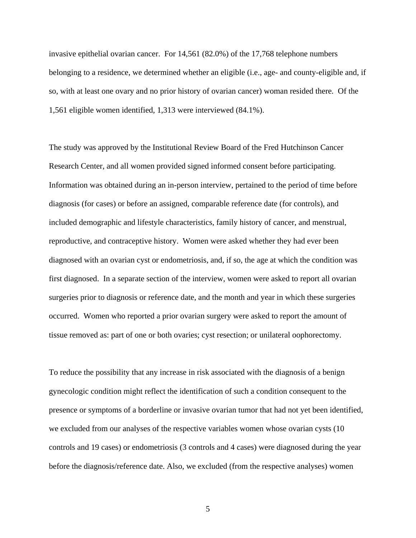invasive epithelial ovarian cancer. For 14,561 (82.0%) of the 17,768 telephone numbers belonging to a residence, we determined whether an eligible (i.e., age- and county-eligible and, if so, with at least one ovary and no prior history of ovarian cancer) woman resided there*.* Of the 1,561 eligible women identified, 1,313 were interviewed (84.1%).

The study was approved by the Institutional Review Board of the Fred Hutchinson Cancer Research Center, and all women provided signed informed consent before participating. Information was obtained during an in-person interview, pertained to the period of time before diagnosis (for cases) or before an assigned, comparable reference date (for controls), and included demographic and lifestyle characteristics, family history of cancer, and menstrual, reproductive, and contraceptive history. Women were asked whether they had ever been diagnosed with an ovarian cyst or endometriosis, and, if so, the age at which the condition was first diagnosed. In a separate section of the interview, women were asked to report all ovarian surgeries prior to diagnosis or reference date, and the month and year in which these surgeries occurred. Women who reported a prior ovarian surgery were asked to report the amount of tissue removed as: part of one or both ovaries; cyst resection; or unilateral oophorectomy.

To reduce the possibility that any increase in risk associated with the diagnosis of a benign gynecologic condition might reflect the identification of such a condition consequent to the presence or symptoms of a borderline or invasive ovarian tumor that had not yet been identified, we excluded from our analyses of the respective variables women whose ovarian cysts (10 controls and 19 cases) or endometriosis (3 controls and 4 cases) were diagnosed during the year before the diagnosis/reference date. Also, we excluded (from the respective analyses) women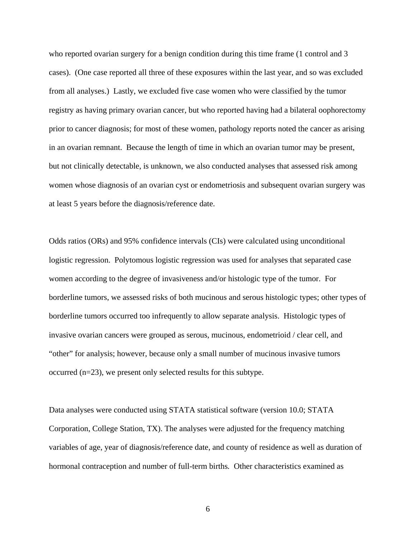who reported ovarian surgery for a benign condition during this time frame (1 control and 3 cases). (One case reported all three of these exposures within the last year, and so was excluded from all analyses.) Lastly, we excluded five case women who were classified by the tumor registry as having primary ovarian cancer, but who reported having had a bilateral oophorectomy prior to cancer diagnosis; for most of these women, pathology reports noted the cancer as arising in an ovarian remnant. Because the length of time in which an ovarian tumor may be present, but not clinically detectable, is unknown, we also conducted analyses that assessed risk among women whose diagnosis of an ovarian cyst or endometriosis and subsequent ovarian surgery was at least 5 years before the diagnosis/reference date.

Odds ratios (ORs) and 95% confidence intervals (CIs) were calculated using unconditional logistic regression. Polytomous logistic regression was used for analyses that separated case women according to the degree of invasiveness and/or histologic type of the tumor. For borderline tumors, we assessed risks of both mucinous and serous histologic types; other types of borderline tumors occurred too infrequently to allow separate analysis. Histologic types of invasive ovarian cancers were grouped as serous, mucinous, endometrioid / clear cell, and "other" for analysis; however, because only a small number of mucinous invasive tumors occurred (n=23), we present only selected results for this subtype.

Data analyses were conducted using STATA statistical software (version 10.0; STATA Corporation, College Station, TX). The analyses were adjusted for the frequency matching variables of age, year of diagnosis/reference date, and county of residence as well as duration of hormonal contraception and number of full-term births*.* Other characteristics examined as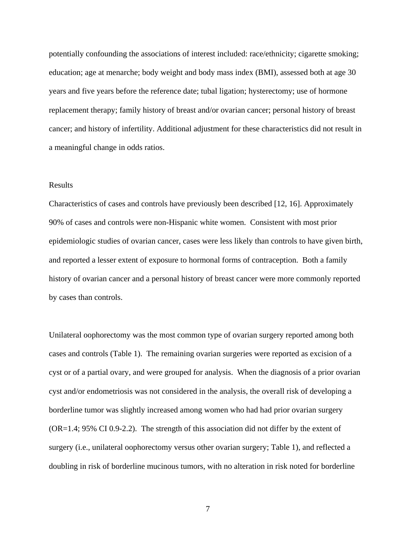potentially confounding the associations of interest included: race/ethnicity; cigarette smoking; education; age at menarche; body weight and body mass index (BMI), assessed both at age 30 years and five years before the reference date; tubal ligation; hysterectomy; use of hormone replacement therapy; family history of breast and/or ovarian cancer; personal history of breast cancer; and history of infertility. Additional adjustment for these characteristics did not result in a meaningful change in odds ratios.

## Results

Characteristics of cases and controls have previously been described [12, 16]. Approximately 90% of cases and controls were non-Hispanic white women. Consistent with most prior epidemiologic studies of ovarian cancer, cases were less likely than controls to have given birth, and reported a lesser extent of exposure to hormonal forms of contraception. Both a family history of ovarian cancer and a personal history of breast cancer were more commonly reported by cases than controls.

Unilateral oophorectomy was the most common type of ovarian surgery reported among both cases and controls (Table 1). The remaining ovarian surgeries were reported as excision of a cyst or of a partial ovary, and were grouped for analysis. When the diagnosis of a prior ovarian cyst and/or endometriosis was not considered in the analysis, the overall risk of developing a borderline tumor was slightly increased among women who had had prior ovarian surgery (OR=1.4; 95% CI 0.9-2.2). The strength of this association did not differ by the extent of surgery (i.e., unilateral oophorectomy versus other ovarian surgery; Table 1), and reflected a doubling in risk of borderline mucinous tumors, with no alteration in risk noted for borderline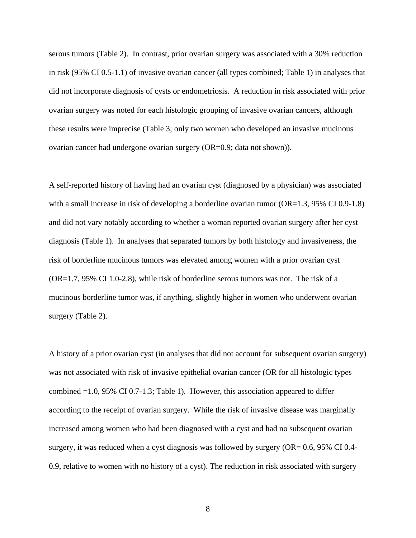serous tumors (Table 2). In contrast, prior ovarian surgery was associated with a 30% reduction in risk (95% CI 0.5-1.1) of invasive ovarian cancer (all types combined; Table 1) in analyses that did not incorporate diagnosis of cysts or endometriosis. A reduction in risk associated with prior ovarian surgery was noted for each histologic grouping of invasive ovarian cancers, although these results were imprecise (Table 3; only two women who developed an invasive mucinous ovarian cancer had undergone ovarian surgery (OR=0.9; data not shown)).

A self-reported history of having had an ovarian cyst (diagnosed by a physician) was associated with a small increase in risk of developing a borderline ovarian tumor (OR=1.3, 95% CI 0.9-1.8) and did not vary notably according to whether a woman reported ovarian surgery after her cyst diagnosis (Table 1). In analyses that separated tumors by both histology and invasiveness, the risk of borderline mucinous tumors was elevated among women with a prior ovarian cyst (OR=1.7, 95% CI 1.0-2.8), while risk of borderline serous tumors was not. The risk of a mucinous borderline tumor was, if anything, slightly higher in women who underwent ovarian surgery (Table 2).

A history of a prior ovarian cyst (in analyses that did not account for subsequent ovarian surgery) was not associated with risk of invasive epithelial ovarian cancer (OR for all histologic types combined =1.0, 95% CI 0.7-1.3; Table 1). However, this association appeared to differ according to the receipt of ovarian surgery. While the risk of invasive disease was marginally increased among women who had been diagnosed with a cyst and had no subsequent ovarian surgery, it was reduced when a cyst diagnosis was followed by surgery (OR= 0.6, 95% CI 0.4- 0.9, relative to women with no history of a cyst). The reduction in risk associated with surgery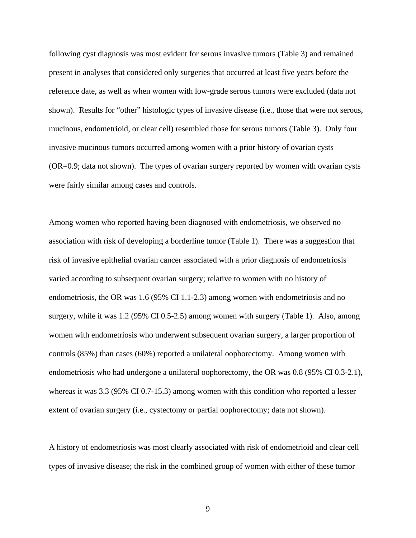following cyst diagnosis was most evident for serous invasive tumors (Table 3) and remained present in analyses that considered only surgeries that occurred at least five years before the reference date, as well as when women with low-grade serous tumors were excluded (data not shown). Results for "other" histologic types of invasive disease (i.e., those that were not serous, mucinous, endometrioid, or clear cell) resembled those for serous tumors (Table 3). Only four invasive mucinous tumors occurred among women with a prior history of ovarian cysts (OR=0.9; data not shown). The types of ovarian surgery reported by women with ovarian cysts were fairly similar among cases and controls.

Among women who reported having been diagnosed with endometriosis, we observed no association with risk of developing a borderline tumor (Table 1). There was a suggestion that risk of invasive epithelial ovarian cancer associated with a prior diagnosis of endometriosis varied according to subsequent ovarian surgery; relative to women with no history of endometriosis, the OR was 1.6 (95% CI 1.1-2.3) among women with endometriosis and no surgery, while it was 1.2 (95% CI 0.5-2.5) among women with surgery (Table 1). Also, among women with endometriosis who underwent subsequent ovarian surgery, a larger proportion of controls (85%) than cases (60%) reported a unilateral oophorectomy. Among women with endometriosis who had undergone a unilateral oophorectomy, the OR was 0.8 (95% CI 0.3-2.1), whereas it was 3.3 (95% CI 0.7-15.3) among women with this condition who reported a lesser extent of ovarian surgery (i.e., cystectomy or partial oophorectomy; data not shown).

A history of endometriosis was most clearly associated with risk of endometrioid and clear cell types of invasive disease; the risk in the combined group of women with either of these tumor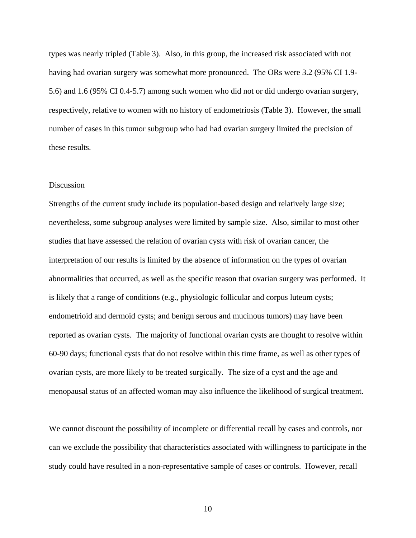types was nearly tripled (Table 3). Also, in this group, the increased risk associated with not having had ovarian surgery was somewhat more pronounced. The ORs were 3.2 (95% CI 1.9- 5.6) and 1.6 (95% CI 0.4-5.7) among such women who did not or did undergo ovarian surgery, respectively, relative to women with no history of endometriosis (Table 3). However, the small number of cases in this tumor subgroup who had had ovarian surgery limited the precision of these results.

## Discussion

Strengths of the current study include its population-based design and relatively large size; nevertheless, some subgroup analyses were limited by sample size. Also, similar to most other studies that have assessed the relation of ovarian cysts with risk of ovarian cancer, the interpretation of our results is limited by the absence of information on the types of ovarian abnormalities that occurred, as well as the specific reason that ovarian surgery was performed. It is likely that a range of conditions (e.g., physiologic follicular and corpus luteum cysts; endometrioid and dermoid cysts; and benign serous and mucinous tumors) may have been reported as ovarian cysts. The majority of functional ovarian cysts are thought to resolve within 60-90 days; functional cysts that do not resolve within this time frame, as well as other types of ovarian cysts, are more likely to be treated surgically. The size of a cyst and the age and menopausal status of an affected woman may also influence the likelihood of surgical treatment.

We cannot discount the possibility of incomplete or differential recall by cases and controls, nor can we exclude the possibility that characteristics associated with willingness to participate in the study could have resulted in a non-representative sample of cases or controls. However, recall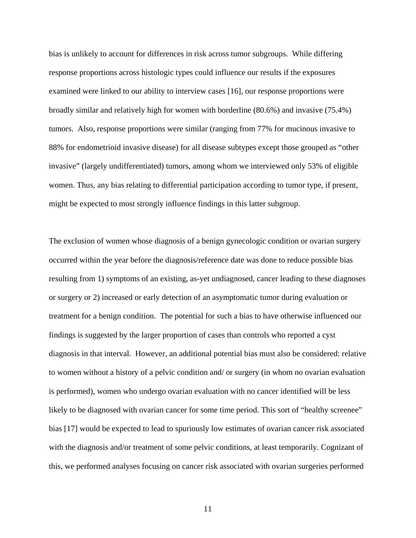bias is unlikely to account for differences in risk across tumor subgroups. While differing response proportions across histologic types could influence our results if the exposures examined were linked to our ability to interview cases [16], our response proportions were broadly similar and relatively high for women with borderline (80.6%) and invasive (75.4%) tumors. Also, response proportions were similar (ranging from 77% for mucinous invasive to 88% for endometrioid invasive disease) for all disease subtypes except those grouped as "other invasive" (largely undifferentiated) tumors, among whom we interviewed only 53% of eligible women. Thus, any bias relating to differential participation according to tumor type, if present, might be expected to most strongly influence findings in this latter subgroup.

The exclusion of women whose diagnosis of a benign gynecologic condition or ovarian surgery occurred within the year before the diagnosis/reference date was done to reduce possible bias resulting from 1) symptoms of an existing, as-yet undiagnosed, cancer leading to these diagnoses or surgery or 2) increased or early detection of an asymptomatic tumor during evaluation or treatment for a benign condition. The potential for such a bias to have otherwise influenced our findings is suggested by the larger proportion of cases than controls who reported a cyst diagnosis in that interval. However, an additional potential bias must also be considered: relative to women without a history of a pelvic condition and/ or surgery (in whom no ovarian evaluation is performed), women who undergo ovarian evaluation with no cancer identified will be less likely to be diagnosed with ovarian cancer for some time period. This sort of "healthy screenee" bias [17] would be expected to lead to spuriously low estimates of ovarian cancer risk associated with the diagnosis and/or treatment of some pelvic conditions, at least temporarily. Cognizant of this, we performed analyses focusing on cancer risk associated with ovarian surgeries performed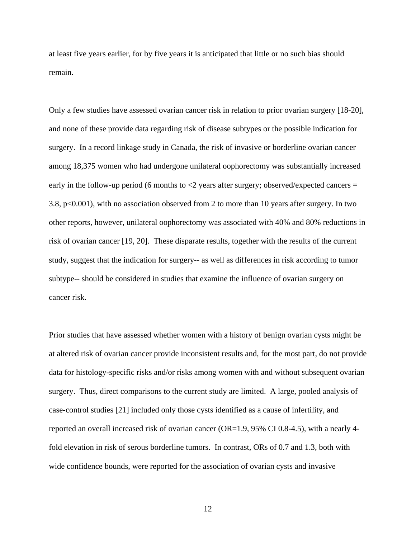at least five years earlier, for by five years it is anticipated that little or no such bias should remain.

Only a few studies have assessed ovarian cancer risk in relation to prior ovarian surgery [18-20], and none of these provide data regarding risk of disease subtypes or the possible indication for surgery. In a record linkage study in Canada, the risk of invasive or borderline ovarian cancer among 18,375 women who had undergone unilateral oophorectomy was substantially increased early in the follow-up period (6 months to  $< 2$  years after surgery; observed/expected cancers  $=$ 3.8, p<0.001), with no association observed from 2 to more than 10 years after surgery. In two other reports, however, unilateral oophorectomy was associated with 40% and 80% reductions in risk of ovarian cancer [19, 20]. These disparate results, together with the results of the current study, suggest that the indication for surgery-- as well as differences in risk according to tumor subtype-- should be considered in studies that examine the influence of ovarian surgery on cancer risk.

Prior studies that have assessed whether women with a history of benign ovarian cysts might be at altered risk of ovarian cancer provide inconsistent results and, for the most part, do not provide data for histology-specific risks and/or risks among women with and without subsequent ovarian surgery. Thus, direct comparisons to the current study are limited. A large, pooled analysis of case-control studies [21] included only those cysts identified as a cause of infertility, and reported an overall increased risk of ovarian cancer (OR=1.9, 95% CI 0.8-4.5), with a nearly 4 fold elevation in risk of serous borderline tumors. In contrast, ORs of 0.7 and 1.3, both with wide confidence bounds, were reported for the association of ovarian cysts and invasive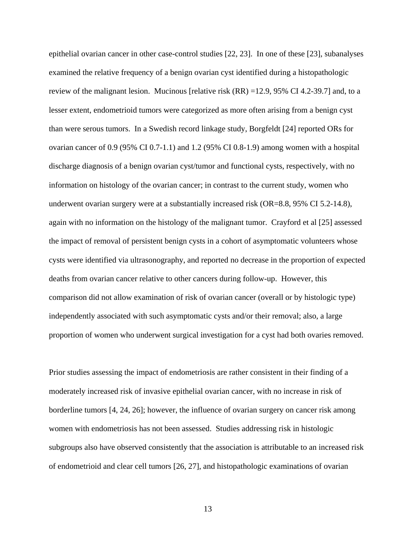epithelial ovarian cancer in other case-control studies [22, 23]. In one of these [23], subanalyses examined the relative frequency of a benign ovarian cyst identified during a histopathologic review of the malignant lesion. Mucinous [relative risk (RR) =12.9, 95% CI 4.2-39.7] and, to a lesser extent, endometrioid tumors were categorized as more often arising from a benign cyst than were serous tumors. In a Swedish record linkage study, Borgfeldt [24] reported ORs for ovarian cancer of 0.9 (95% CI 0.7-1.1) and 1.2 (95% CI 0.8-1.9) among women with a hospital discharge diagnosis of a benign ovarian cyst/tumor and functional cysts, respectively, with no information on histology of the ovarian cancer; in contrast to the current study, women who underwent ovarian surgery were at a substantially increased risk (OR=8.8, 95% CI 5.2-14.8), again with no information on the histology of the malignant tumor. Crayford et al [25] assessed the impact of removal of persistent benign cysts in a cohort of asymptomatic volunteers whose cysts were identified via ultrasonography, and reported no decrease in the proportion of expected deaths from ovarian cancer relative to other cancers during follow-up. However, this comparison did not allow examination of risk of ovarian cancer (overall or by histologic type) independently associated with such asymptomatic cysts and/or their removal; also, a large proportion of women who underwent surgical investigation for a cyst had both ovaries removed.

Prior studies assessing the impact of endometriosis are rather consistent in their finding of a moderately increased risk of invasive epithelial ovarian cancer, with no increase in risk of borderline tumors [4, 24, 26]; however, the influence of ovarian surgery on cancer risk among women with endometriosis has not been assessed. Studies addressing risk in histologic subgroups also have observed consistently that the association is attributable to an increased risk of endometrioid and clear cell tumors [26, 27], and histopathologic examinations of ovarian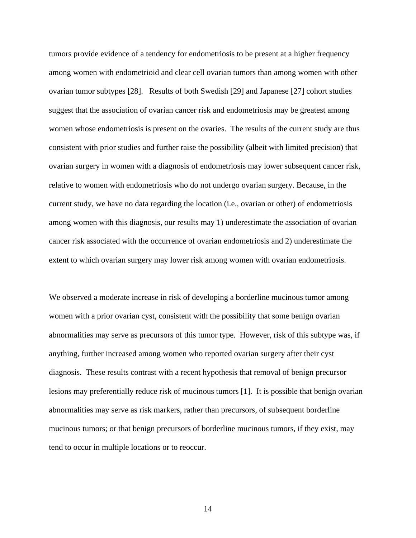tumors provide evidence of a tendency for endometriosis to be present at a higher frequency among women with endometrioid and clear cell ovarian tumors than among women with other ovarian tumor subtypes [28]. Results of both Swedish [29] and Japanese [27] cohort studies suggest that the association of ovarian cancer risk and endometriosis may be greatest among women whose endometriosis is present on the ovaries. The results of the current study are thus consistent with prior studies and further raise the possibility (albeit with limited precision) that ovarian surgery in women with a diagnosis of endometriosis may lower subsequent cancer risk, relative to women with endometriosis who do not undergo ovarian surgery. Because, in the current study, we have no data regarding the location (i.e., ovarian or other) of endometriosis among women with this diagnosis, our results may 1) underestimate the association of ovarian cancer risk associated with the occurrence of ovarian endometriosis and 2) underestimate the extent to which ovarian surgery may lower risk among women with ovarian endometriosis.

We observed a moderate increase in risk of developing a borderline mucinous tumor among women with a prior ovarian cyst, consistent with the possibility that some benign ovarian abnormalities may serve as precursors of this tumor type. However, risk of this subtype was, if anything, further increased among women who reported ovarian surgery after their cyst diagnosis. These results contrast with a recent hypothesis that removal of benign precursor lesions may preferentially reduce risk of mucinous tumors [1]. It is possible that benign ovarian abnormalities may serve as risk markers, rather than precursors, of subsequent borderline mucinous tumors; or that benign precursors of borderline mucinous tumors, if they exist, may tend to occur in multiple locations or to reoccur.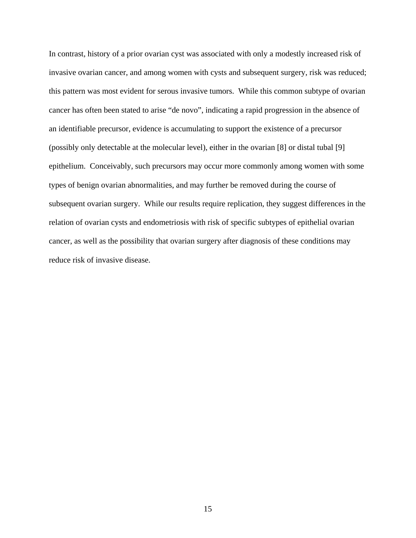In contrast, history of a prior ovarian cyst was associated with only a modestly increased risk of invasive ovarian cancer, and among women with cysts and subsequent surgery, risk was reduced; this pattern was most evident for serous invasive tumors. While this common subtype of ovarian cancer has often been stated to arise "de novo", indicating a rapid progression in the absence of an identifiable precursor, evidence is accumulating to support the existence of a precursor (possibly only detectable at the molecular level), either in the ovarian [8] or distal tubal [9] epithelium. Conceivably, such precursors may occur more commonly among women with some types of benign ovarian abnormalities, and may further be removed during the course of subsequent ovarian surgery. While our results require replication, they suggest differences in the relation of ovarian cysts and endometriosis with risk of specific subtypes of epithelial ovarian cancer, as well as the possibility that ovarian surgery after diagnosis of these conditions may reduce risk of invasive disease.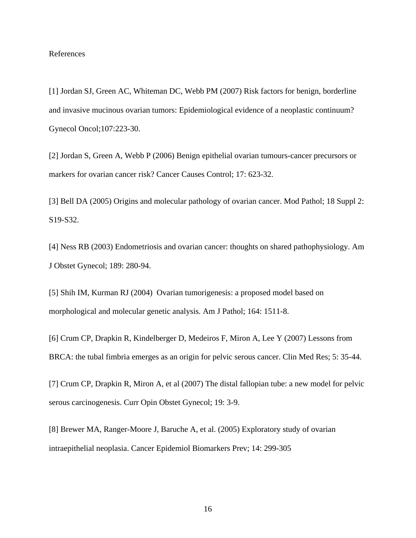## References

[1] Jordan SJ, Green AC, Whiteman DC, Webb PM (2007) Risk factors for benign, borderline and invasive mucinous ovarian tumors: Epidemiological evidence of a neoplastic continuum? Gynecol Oncol;107:223-30.

[2] Jordan S, Green A, Webb P (2006) Benign epithelial ovarian tumours-cancer precursors or markers for ovarian cancer risk? Cancer Causes Control; 17: 623-32.

[3] Bell DA (2005) Origins and molecular pathology of ovarian cancer. Mod Pathol; 18 Suppl 2: S19-S32.

[4] Ness RB (2003) Endometriosis and ovarian cancer: thoughts on shared pathophysiology. Am J Obstet Gynecol; 189: 280-94.

[5] Shih IM, Kurman RJ (2004) Ovarian tumorigenesis: a proposed model based on morphological and molecular genetic analysis. Am J Pathol; 164: 1511-8.

[6] Crum CP, Drapkin R, Kindelberger D, Medeiros F, Miron A, Lee Y (2007) Lessons from BRCA: the tubal fimbria emerges as an origin for pelvic serous cancer. Clin Med Res; 5: 35-44.

[7] Crum CP, Drapkin R, Miron A, et al (2007) The distal fallopian tube: a new model for pelvic serous carcinogenesis. Curr Opin Obstet Gynecol; 19: 3-9.

[8] Brewer MA, Ranger-Moore J, Baruche A, et al. (2005) Exploratory study of ovarian intraepithelial neoplasia. Cancer Epidemiol Biomarkers Prev; 14: 299-305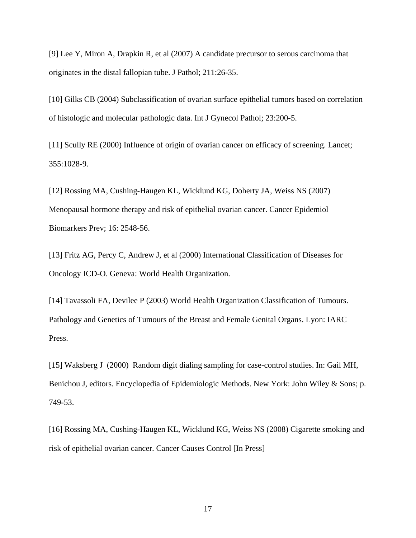[9] Lee Y, Miron A, Drapkin R, et al (2007) A candidate precursor to serous carcinoma that originates in the distal fallopian tube. J Pathol; 211:26-35.

[10] Gilks CB (2004) Subclassification of ovarian surface epithelial tumors based on correlation of histologic and molecular pathologic data. Int J Gynecol Pathol; 23:200-5.

[11] Scully RE (2000) Influence of origin of ovarian cancer on efficacy of screening. Lancet; 355:1028-9.

[12] Rossing MA, Cushing-Haugen KL, Wicklund KG, Doherty JA, Weiss NS (2007) Menopausal hormone therapy and risk of epithelial ovarian cancer. Cancer Epidemiol Biomarkers Prev; 16: 2548-56.

[13] Fritz AG, Percy C, Andrew J, et al (2000) International Classification of Diseases for Oncology ICD-O. Geneva: World Health Organization.

[14] Tavassoli FA, Devilee P (2003) World Health Organization Classification of Tumours. Pathology and Genetics of Tumours of the Breast and Female Genital Organs. Lyon: IARC Press.

[15] Waksberg J (2000) Random digit dialing sampling for case-control studies. In: Gail MH, Benichou J, editors. Encyclopedia of Epidemiologic Methods. New York: John Wiley & Sons; p. 749-53.

[16] Rossing MA, Cushing-Haugen KL, Wicklund KG, Weiss NS (2008) Cigarette smoking and risk of epithelial ovarian cancer. Cancer Causes Control [In Press]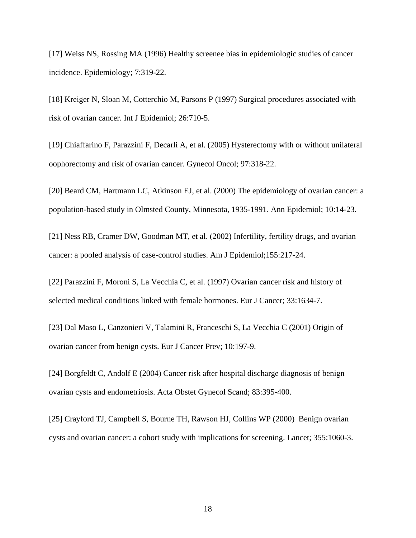[17] Weiss NS, Rossing MA (1996) Healthy screenee bias in epidemiologic studies of cancer incidence. Epidemiology; 7:319-22.

[18] Kreiger N, Sloan M, Cotterchio M, Parsons P (1997) Surgical procedures associated with risk of ovarian cancer. Int J Epidemiol; 26:710-5.

[19] Chiaffarino F, Parazzini F, Decarli A, et al. (2005) Hysterectomy with or without unilateral oophorectomy and risk of ovarian cancer. Gynecol Oncol; 97:318-22.

[20] Beard CM, Hartmann LC, Atkinson EJ, et al. (2000) The epidemiology of ovarian cancer: a population-based study in Olmsted County, Minnesota, 1935-1991. Ann Epidemiol; 10:14-23.

[21] Ness RB, Cramer DW, Goodman MT, et al. (2002) Infertility, fertility drugs, and ovarian cancer: a pooled analysis of case-control studies. Am J Epidemiol;155:217-24.

[22] Parazzini F, Moroni S, La Vecchia C, et al. (1997) Ovarian cancer risk and history of selected medical conditions linked with female hormones. Eur J Cancer; 33:1634-7.

[23] Dal Maso L, Canzonieri V, Talamini R, Franceschi S, La Vecchia C (2001) Origin of ovarian cancer from benign cysts. Eur J Cancer Prev; 10:197-9.

[24] Borgfeldt C, Andolf E (2004) Cancer risk after hospital discharge diagnosis of benign ovarian cysts and endometriosis. Acta Obstet Gynecol Scand; 83:395-400.

[25] Crayford TJ, Campbell S, Bourne TH, Rawson HJ, Collins WP (2000) Benign ovarian cysts and ovarian cancer: a cohort study with implications for screening. Lancet; 355:1060-3.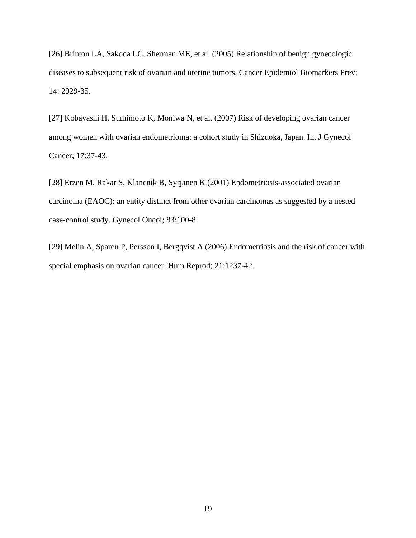[26] Brinton LA, Sakoda LC, Sherman ME, et al. (2005) Relationship of benign gynecologic diseases to subsequent risk of ovarian and uterine tumors. Cancer Epidemiol Biomarkers Prev; 14: 2929-35.

[27] Kobayashi H, Sumimoto K, Moniwa N, et al. (2007) Risk of developing ovarian cancer among women with ovarian endometrioma: a cohort study in Shizuoka, Japan. Int J Gynecol Cancer; 17:37-43.

[28] Erzen M, Rakar S, Klancnik B, Syrjanen K (2001) Endometriosis-associated ovarian carcinoma (EAOC): an entity distinct from other ovarian carcinomas as suggested by a nested case-control study. Gynecol Oncol; 83:100-8.

[29] Melin A, Sparen P, Persson I, Bergqvist A (2006) Endometriosis and the risk of cancer with special emphasis on ovarian cancer. Hum Reprod; 21:1237-42.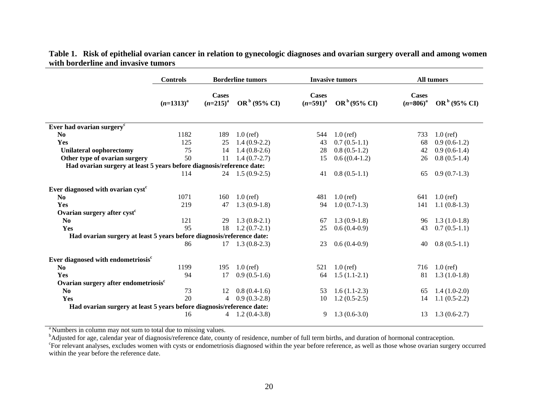|                                                                       | <b>Controls</b> | <b>Borderline tumors</b>      |                            | <b>Invasive tumors</b>        |                          | All tumors                    |                          |
|-----------------------------------------------------------------------|-----------------|-------------------------------|----------------------------|-------------------------------|--------------------------|-------------------------------|--------------------------|
|                                                                       | $(n=1313)^{a}$  | <b>Cases</b><br>$(n=215)^{a}$ | OR <sup>b</sup> (95% CI)   | <b>Cases</b><br>$(n=591)^{a}$ | OR <sup>b</sup> (95% CI) | <b>Cases</b><br>$(n=806)^{a}$ | OR <sup>b</sup> (95% CI) |
| Ever had ovarian surgery <sup>c</sup>                                 |                 |                               |                            |                               |                          |                               |                          |
| N <sub>0</sub>                                                        | 1182            | 189                           | $1.0$ (ref)                | 544                           | $1.0$ (ref)              | 733                           | $1.0$ (ref)              |
| Yes                                                                   | 125             | 25                            | $1.4(0.9-2.2)$             | 43                            | $0.7(0.5-1.1)$           | 68                            | $0.9(0.6-1.2)$           |
| <b>Unilateral oophorectomy</b>                                        | 75              | 14                            | $1.4(0.8-2.6)$             | 28                            | $0.8(0.5-1.2)$           | 42                            | $0.9(0.6-1.4)$           |
| Other type of ovarian surgery                                         | 50              | 11                            | $1.4(0.7-2.7)$             | 15                            | $0.6 ((0.4-1.2))$        | 26                            | $0.8(0.5-1.4)$           |
| Had ovarian surgery at least 5 years before diagnosis/reference date: |                 |                               |                            |                               |                          |                               |                          |
|                                                                       | 114             |                               | $24$ 1.5 (0.9-2.5)         | 41                            | $0.8(0.5-1.1)$           | 65                            | $0.9(0.7-1.3)$           |
| Ever diagnosed with ovarian cyst <sup>c</sup>                         |                 |                               |                            |                               |                          |                               |                          |
| No                                                                    | 1071            | 160                           | $1.0$ (ref)                | 481                           | $1.0$ (ref)              | 641                           | $1.0$ (ref)              |
| Yes                                                                   | 219             | 47                            | $1.3(0.9-1.8)$             | 94                            | $1.0(0.7-1.3)$           | 141                           | $1.1(0.8-1.3)$           |
| Ovarian surgery after cyst <sup>c</sup>                               |                 |                               |                            |                               |                          |                               |                          |
| N <sub>0</sub>                                                        | 121             | 29                            | $1.3(0.8-2.1)$             | 67                            | $1.3(0.9-1.8)$           | 96                            | $1.3(1.0-1.8)$           |
| Yes                                                                   | 95              | 18                            | $1.2(0.7-2.1)$             | 25                            | $0.6(0.4-0.9)$           | 43                            | $0.7(0.5-1.1)$           |
| Had ovarian surgery at least 5 years before diagnosis/reference date: |                 |                               |                            |                               |                          |                               |                          |
|                                                                       | 86              |                               | $17 \quad 1.3 \ (0.8-2.3)$ | 23                            | $0.6(0.4-0.9)$           | 40                            | $0.8(0.5-1.1)$           |
| Ever diagnosed with endometriosis <sup>c</sup>                        |                 |                               |                            |                               |                          |                               |                          |
| N <sub>0</sub>                                                        | 1199            | 195                           | $1.0$ (ref)                | 521                           | $1.0$ (ref)              | 716                           | $1.0$ (ref)              |
| Yes                                                                   | 94              | 17                            | $0.9(0.5-1.6)$             | 64                            | $1.5(1.1-2.1)$           | 81                            | $1.3(1.0-1.8)$           |
| Ovarian surgery after endometriosis <sup>c</sup>                      |                 |                               |                            |                               |                          |                               |                          |
| N <sub>0</sub>                                                        | 73              | 12                            | $0.8(0.4-1.6)$             | 53                            | $1.6(1.1-2.3)$           | 65                            | $1.4(1.0-2.0)$           |
| Yes                                                                   | 20              | $\overline{4}$                | $0.9(0.3-2.8)$             | 10                            | $1.2(0.5-2.5)$           | 14                            | $1.1(0.5-2.2)$           |
| Had ovarian surgery at least 5 years before diagnosis/reference date: |                 |                               |                            |                               |                          |                               |                          |
|                                                                       | 16              | $\overline{4}$                | $1.2(0.4-3.8)$             | 9                             | $1.3(0.6-3.0)$           | 13                            | $1.3(0.6-2.7)$           |

**Table 1. Risk of epithelial ovarian cancer in relation to gynecologic diagnoses and ovarian surgery overall and among women with borderline and invasive tumors** 

<sup>a</sup> Numbers in column may not sum to total due to missing values.

<sup>b</sup>Adjusted for age, calendar year of diagnosis/reference date, county of residence, number of full term births, and duration of hormonal contraception.

<sup>c</sup>For relevant analyses, excludes women with cysts or endometriosis diagnosed within the year before reference, as well as those whose ovarian surgery occurred within the year before the reference date.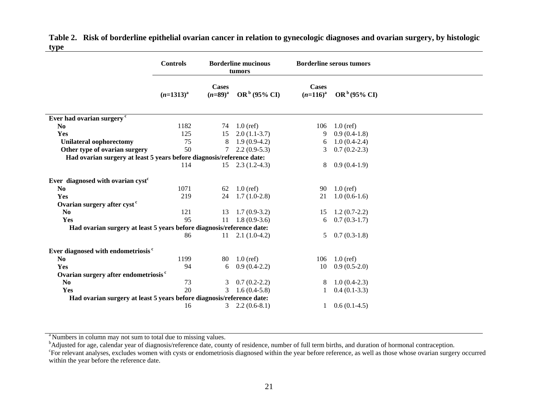|                                                                       | <b>Controls</b> |                       | <b>Borderline mucinous</b><br>tumors |                        | <b>Borderline serous tumors</b> |  |  |
|-----------------------------------------------------------------------|-----------------|-----------------------|--------------------------------------|------------------------|---------------------------------|--|--|
|                                                                       | $(n=1313)^{a}$  | Cases<br>$(n=89)^{a}$ | OR <sup>b</sup> (95% CI)             | Cases<br>$(n=116)^{a}$ | OR <sup>b</sup> (95% CI)        |  |  |
| Ever had ovarian surgery <sup>c</sup>                                 |                 |                       |                                      |                        |                                 |  |  |
| N <sub>0</sub>                                                        | 1182            | 74                    | $1.0$ (ref)                          | 106                    | $1.0$ (ref)                     |  |  |
| Yes                                                                   | 125             | 15                    | $2.0(1.1-3.7)$                       | 9                      | $0.9(0.4-1.8)$                  |  |  |
| <b>Unilateral oophorectomy</b>                                        | 75              | 8                     | $1.9(0.9-4.2)$                       | 6                      | $1.0(0.4-2.4)$                  |  |  |
| Other type of ovarian surgery                                         | 50              | 7                     | $2.2(0.9-5.3)$                       | 3                      | $0.7(0.2-2.3)$                  |  |  |
| Had ovarian surgery at least 5 years before diagnosis/reference date: |                 |                       |                                      |                        |                                 |  |  |
|                                                                       | 114             | 15                    | $2.3(1.2-4.3)$                       | 8                      | $0.9(0.4-1.9)$                  |  |  |
| Ever diagnosed with ovarian cyst <sup>c</sup>                         |                 |                       |                                      |                        |                                 |  |  |
| N <sub>0</sub>                                                        | 1071            | 62                    | $1.0$ (ref)                          | 90                     | $1.0$ (ref)                     |  |  |
| Yes                                                                   | 219             | 24                    | $1.7(1.0-2.8)$                       | 21                     | $1.0(0.6-1.6)$                  |  |  |
| Ovarian surgery after cyst <sup>c</sup>                               |                 |                       |                                      |                        |                                 |  |  |
| N <sub>0</sub>                                                        | 121             | 13                    | $1.7(0.9-3.2)$                       | 15                     | $1.2(0.7-2.2)$                  |  |  |
| Yes                                                                   | 95              | 11                    | $1.8(0.9-3.6)$                       | 6                      | $0.7(0.3-1.7)$                  |  |  |
| Had ovarian surgery at least 5 years before diagnosis/reference date: |                 |                       |                                      |                        |                                 |  |  |
|                                                                       | 86              | 11                    | $2.1(1.0-4.2)$                       | 5                      | $0.7(0.3-1.8)$                  |  |  |
| Ever diagnosed with endometriosis <sup>c</sup>                        |                 |                       |                                      |                        |                                 |  |  |
| N <sub>0</sub>                                                        | 1199            | 80                    | $1.0$ (ref)                          | 106                    | $1.0$ (ref)                     |  |  |
| Yes                                                                   | 94              | 6                     | $0.9(0.4-2.2)$                       | 10                     | $0.9(0.5-2.0)$                  |  |  |
| Ovarian surgery after endometriosis <sup>c</sup>                      |                 |                       |                                      |                        |                                 |  |  |
| N <sub>0</sub>                                                        | 73              | 3                     | $0.7(0.2-2.2)$                       | 8                      | $1.0(0.4-2.3)$                  |  |  |
| Yes                                                                   | 20              | 3                     | $1.6(0.4-5.8)$                       |                        | $0.4(0.1-3.3)$                  |  |  |
| Had ovarian surgery at least 5 years before diagnosis/reference date: |                 |                       |                                      |                        |                                 |  |  |
|                                                                       | 16              | 3                     | $2.2(0.6-8.1)$                       |                        | $0.6(0.1-4.5)$                  |  |  |

**Table 2. Risk of borderline epithelial ovarian cancer in relation to gynecologic diagnoses and ovarian surgery, by histologic type** 

<sup>a</sup> Numbers in column may not sum to total due to missing values.

<sup>b</sup>Adjusted for age, calendar year of diagnosis/reference date, county of residence, number of full term births, and duration of hormonal contraception. <sup>c</sup>For relevant analyses, excludes women with cysts or endometriosis diagnosed within the year before reference, as well as those whose ovarian surgery occurred within the year before the reference date.